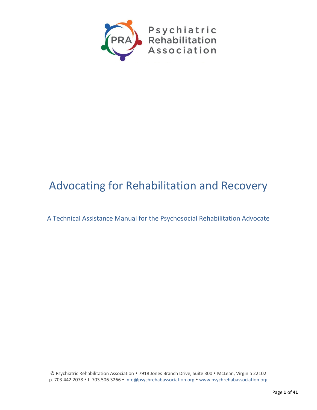

# Advocating for Rehabilitation and Recovery

A Technical Assistance Manual for the Psychosocial Rehabilitation Advocate

© Psychiatric Rehabilitation Association 7918 Jones Branch Drive, Suite 300 McLean, Virginia 22102 p. 703.442.2078 • f. 703.506.3266 • info@psychrehabassociation.org • www.psychrehabassociation.org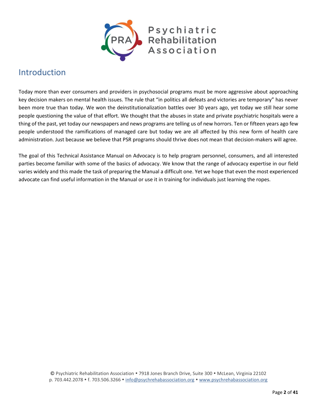

## <span id="page-1-0"></span>Introduction

Today more than ever consumers and providers in psychosocial programs must be more aggressive about approaching key decision makers on mental health issues. The rule that "in politics all defeats and victories are temporary" has never been more true than today. We won the deinstitutionalization battles over 30 years ago, yet today we still hear some people questioning the value of that effort. We thought that the abuses in state and private psychiatric hospitals were a thing of the past, yet today our newspapers and news programs are telling us of new horrors. Ten or fifteen years ago few people understood the ramifications of managed care but today we are all affected by this new form of health care administration. Just because we believe that PSR programs should thrive does not mean that decision-makers will agree.

The goal of this Technical Assistance Manual on Advocacy is to help program personnel, consumers, and all interested parties become familiar with some of the basics of advocacy. We know that the range of advocacy expertise in our field varies widely and this made the task of preparing the Manual a difficult one. Yet we hope that even the most experienced advocate can find useful information in the Manual or use it in training for individuals just learning the ropes.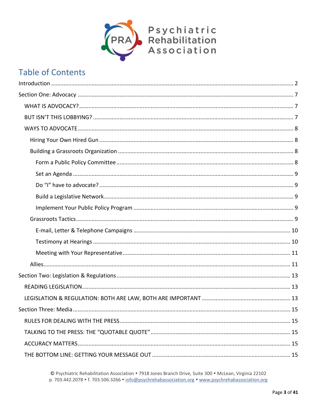

## **Table of Contents**

© Psychiatric Rehabilitation Association • 7918 Jones Branch Drive, Suite 300 • McLean, Virginia 22102 p. 703.442.2078 • f. 703.506.3266 • info@psychrehabassociation.org • www.psychrehabassociation.org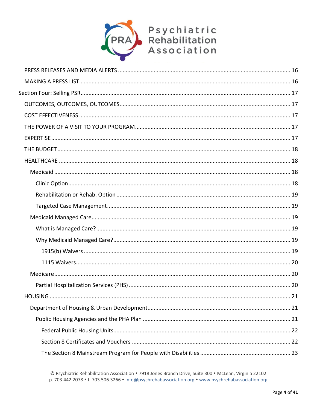

© Psychiatric Rehabilitation Association • 7918 Jones Branch Drive, Suite 300 • McLean, Virginia 22102 p. 703.442.2078 • f. 703.506.3266 • info@psychrehabassociation.org • www.psychrehabassociation.org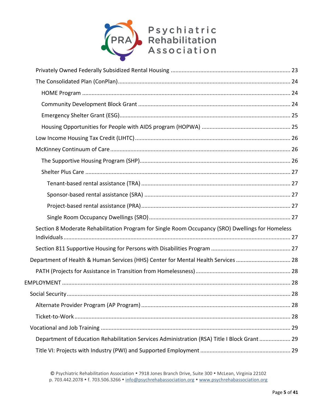

| Section 8 Moderate Rehabilitation Program for Single Room Occupancy (SRO) Dwellings for Homeless |  |
|--------------------------------------------------------------------------------------------------|--|
|                                                                                                  |  |
| Department of Health & Human Services (HHS) Center for Mental Health Services  28                |  |
|                                                                                                  |  |
|                                                                                                  |  |
|                                                                                                  |  |
|                                                                                                  |  |
|                                                                                                  |  |
|                                                                                                  |  |
| Department of Education Rehabilitation Services Administration (RSA) Title I Block Grant  29     |  |
|                                                                                                  |  |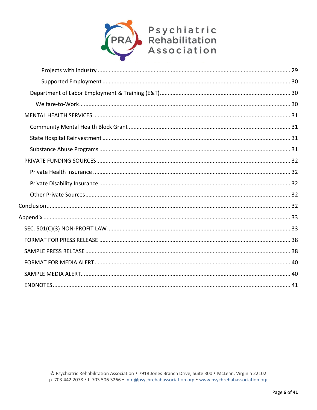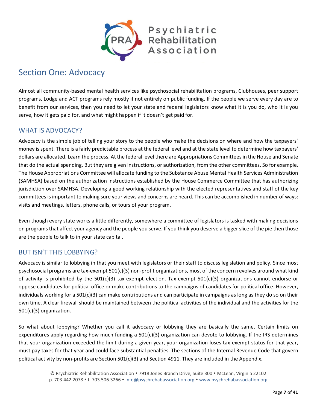

## <span id="page-6-0"></span>Section One: Advocacy

Almost all community-based mental health services like psychosocial rehabilitation programs, Clubhouses, peer support programs, Lodge and ACT programs rely mostly if not entirely on public funding. If the people we serve every day are to benefit from our services, then you need to let your state and federal legislators know what it is you do, who it is you serve, how it gets paid for, and what might happen if it doesn't get paid for.

## <span id="page-6-1"></span>WHAT IS ADVOCACY?

Advocacy is the simple job of telling your story to the people who make the decisions on where and how the taxpayers' money is spent. There is a fairly predictable process at the federal level and at the state level to determine how taxpayers' dollars are allocated. Learn the process. At the federal level there are Appropriations Committees in the House and Senate that do the actual spending. But they are given instructions, or authorization, from the other committees. So for example, The House Appropriations Committee will allocate funding to the Substance Abuse Mental Health Services Administration (SAMHSA) based on the authorization instructions established by the House Commerce Committee that has authorizing jurisdiction over SAMHSA. Developing a good working relationship with the elected representatives and staff of the key committees is important to making sure your views and concerns are heard. This can be accomplished in number of ways: visits and meetings, letters, phone calls, or tours of your program.

Even though every state works a little differently, somewhere a committee of legislators is tasked with making decisions on programs that affect your agency and the people you serve. If you think you deserve a bigger slice of the pie then those are the people to talk to in your state capital.

### <span id="page-6-2"></span>BUT ISN'T THIS LOBBYING?

Advocacy is similar to lobbying in that you meet with legislators or their staff to discuss legislation and policy. Since most psychosocial programs are tax-exempt 501(c)(3) non-profit organizations, most of the concern revolves around what kind of activity is prohibited by the 501(c)(3) tax-exempt election. Tax-exempt 501(c)(3) organizations cannot endorse or oppose candidates for political office or make contributions to the campaigns of candidates for political office. However, individuals working for a 501(c)(3) can make contributions and can participate in campaigns as long as they do so on their own time. A clear firewall should be maintained between the political activities of the individual and the activities for the 501(c)(3) organization.

So what about lobbying? Whether you call it advocacy or lobbying they are basically the same. Certain limits on expenditures apply regarding how much funding a  $501(c)(3)$  organization can devote to lobbying. If the IRS determines that your organization exceeded the limit during a given year, your organization loses tax-exempt status for that year, must pay taxes for that year and could face substantial penalties. The sections of the Internal Revenue Code that govern political activity by non-profits are Section 501(c)(3) and Section 4911. They are included in the Appendix.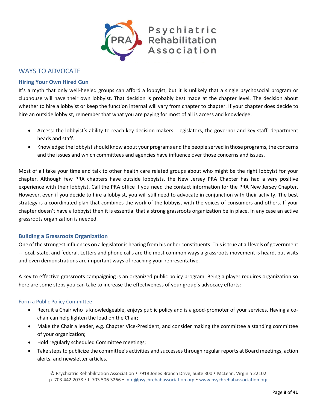

<span id="page-7-0"></span>WAYS TO ADVOCATE

#### <span id="page-7-1"></span>**Hiring Your Own Hired Gun**

It's a myth that only well-heeled groups can afford a lobbyist, but it is unlikely that a single psychosocial program or clubhouse will have their own lobbyist. That decision is probably best made at the chapter level. The decision about whether to hire a lobbyist or keep the function internal will vary from chapter to chapter. If your chapter does decide to hire an outside lobbyist, remember that what you are paying for most of all is access and knowledge.

- Access: the lobbyist's ability to reach key decision-makers legislators, the governor and key staff, department heads and staff.
- Knowledge: the lobbyist should know about your programs and the people served in those programs, the concerns and the issues and which committees and agencies have influence over those concerns and issues.

Most of all take your time and talk to other health care related groups about who might be the right lobbyist for your chapter. Although few PRA chapters have outside lobbyists, the New Jersey PRA Chapter has had a very positive experience with their lobbyist. Call the PRA office if you need the contact information for the PRA New Jersey Chapter. However, even if you decide to hire a lobbyist, you will still need to advocate in conjunction with their activity. The best strategy is a coordinated plan that combines the work of the lobbyist with the voices of consumers and others. If your chapter doesn't have a lobbyist then it is essential that a strong grassroots organization be in place. In any case an active grassroots organization is needed.

#### <span id="page-7-2"></span>**Building a Grassroots Organization**

One of the strongest influences on a legislator is hearing from his or her constituents. This is true at all levels of government -- local, state, and federal. Letters and phone calls are the most common ways a grassroots movement is heard, but visits and even demonstrations are important ways of reaching your representative.

A key to effective grassroots campaigning is an organized public policy program. Being a player requires organization so here are some steps you can take to increase the effectiveness of your group's advocacy efforts:

#### <span id="page-7-3"></span>Form a Public Policy Committee

- Recruit a Chair who is knowledgeable, enjoys public policy and is a good-promoter of your services. Having a cochair can help lighten the load on the Chair;
- Make the Chair a leader, e.g. Chapter Vice-President, and consider making the committee a standing committee of your organization;
- Hold regularly scheduled Committee meetings;
- Take steps to publicize the committee's activities and successes through regular reports at Board meetings, action alerts, and newsletter articles.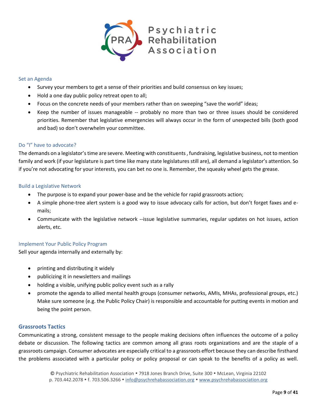

#### <span id="page-8-0"></span>Set an Agenda

- Survey your members to get a sense of their priorities and build consensus on key issues;
- Hold a one day public policy retreat open to all;
- Focus on the concrete needs of your members rather than on sweeping "save the world" ideas;
- Keep the number of issues manageable -- probably no more than two or three issues should be considered priorities. Remember that legislative emergencies will always occur in the form of unexpected bills (both good and bad) so don't overwhelm your committee.

#### <span id="page-8-1"></span>Do "I" have to advocate?

The demands on a legislator's time are severe. Meeting with constituents , fundraising, legislative business, not to mention family and work (if your legislature is part time like many state legislatures still are), all demand a legislator's attention. So if you're not advocating for your interests, you can bet no one is. Remember, the squeaky wheel gets the grease.

#### <span id="page-8-2"></span>Build a Legislative Network

- The purpose is to expand your power-base and be the vehicle for rapid grassroots action;
- A simple phone-tree alert system is a good way to issue advocacy calls for action, but don't forget faxes and emails;
- Communicate with the legislative network --issue legislative summaries, regular updates on hot issues, action alerts, etc.

#### <span id="page-8-3"></span>Implement Your Public Policy Program

Sell your agenda internally and externally by:

- printing and distributing it widely
- publicizing it in newsletters and mailings
- holding a visible, unifying public policy event such as a rally
- promote the agenda to allied mental health groups (consumer networks, AMIs, MHAs, professional groups, etc.) Make sure someone (e.g. the Public Policy Chair) is responsible and accountable for putting events in motion and being the point person.

#### <span id="page-8-4"></span>**Grassroots Tactics**

Communicating a strong, consistent message to the people making decisions often influences the outcome of a policy debate or discussion. The following tactics are common among all grass roots organizations and are the staple of a grassroots campaign. Consumer advocates are especially critical to a grassroots effort because they can describe firsthand the problems associated with a particular policy or policy proposal or can speak to the benefits of a policy as well.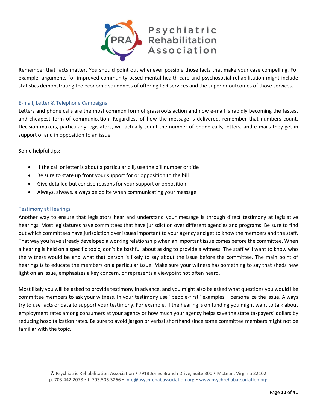

Remember that facts matter. You should point out whenever possible those facts that make your case compelling. For example, arguments for improved community-based mental health care and psychosocial rehabilitation might include statistics demonstrating the economic soundness of offering PSR services and the superior outcomes of those services.

#### <span id="page-9-0"></span>E-mail, Letter & Telephone Campaigns

Letters and phone calls are the most common form of grassroots action and now e-mail is rapidly becoming the fastest and cheapest form of communication. Regardless of how the message is delivered, remember that numbers count. Decision-makers, particularly legislators, will actually count the number of phone calls, letters, and e-mails they get in support of and in opposition to an issue.

Some helpful tips:

- If the call or letter is about a particular bill, use the bill number or title
- Be sure to state up front your support for or opposition to the bill
- Give detailed but concise reasons for your support or opposition
- Always, always, always be polite when communicating your message

#### <span id="page-9-1"></span>Testimony at Hearings

Another way to ensure that legislators hear and understand your message is through direct testimony at legislative hearings. Most legislatures have committees that have jurisdiction over different agencies and programs. Be sure to find out which committees have jurisdiction over issues important to your agency and get to know the members and the staff. That way you have already developed a working relationship when an important issue comes before the committee. When a hearing is held on a specific topic, don't be bashful about asking to provide a witness. The staff will want to know who the witness would be and what that person is likely to say about the issue before the committee. The main point of hearings is to educate the members on a particular issue. Make sure your witness has something to say that sheds new light on an issue, emphasizes a key concern, or represents a viewpoint not often heard.

Most likely you will be asked to provide testimony in advance, and you might also be asked what questions you would like committee members to ask your witness. In your testimony use "people-first" examples – personalize the issue. Always try to use facts or data to support your testimony. For example, if the hearing is on funding you might want to talk about employment rates among consumers at your agency or how much your agency helps save the state taxpayers' dollars by reducing hospitalization rates. Be sure to avoid jargon or verbal shorthand since some committee members might not be familiar with the topic.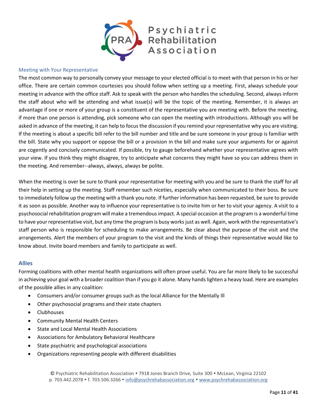

#### <span id="page-10-0"></span>Meeting with Your Representative

The most common way to personally convey your message to your elected official is to meet with that person in his or her office. There are certain common courtesies you should follow when setting up a meeting. First, always schedule your meeting in advance with the office staff. Ask to speak with the person who handles the scheduling. Second, always inform the staff about who will be attending and what issue(s) will be the topic of the meeting. Remember, it is always an advantage if one or more of your group is a constituent of the representative you are meeting with. Before the meeting, if more than one person is attending, pick someone who can open the meeting with introductions. Although you will be asked in advance of the meeting, it can help to focus the discussion if you remind your representative why you are visiting. If the meeting is about a specific bill refer to the bill number and title and be sure someone in your group is familiar with the bill. State why you support or oppose the bill or a provision in the bill and make sure your arguments for or against are cogently and concisely communicated. If possible, try to gauge beforehand whether your representative agrees with your view. If you think they might disagree, try to anticipate what concerns they might have so you can address them in the meeting. And remember--always, always, always be polite.

When the meeting is over be sure to thank your representative for meeting with you and be sure to thank the staff for all their help in setting up the meeting. Staff remember such niceties, especially when communicated to their boss. Be sure to immediately follow up the meeting with a thank you note. If further information has been requested, be sure to provide it as soon as possible. Another way to influence your representative is to invite him or her to visit your agency. A visit to a psychosocial rehabilitation program will make a tremendous impact. A special occasion at the program is a wonderful time to have your representative visit, but any time the program is busy works just as well. Again, work with the representative's staff person who is responsible for scheduling to make arrangements. Be clear about the purpose of the visit and the arrangements. Alert the members of your program to the visit and the kinds of things their representative would like to know about. Invite board members and family to participate as well.

#### <span id="page-10-1"></span>**Allies**

Forming coalitions with other mental health organizations will often prove useful. You are far more likely to be successful in achieving your goal with a broader coalition than if you go it alone. Many hands lighten a heavy load. Here are examples of the possible allies in any coalition:

- Consumers and/or consumer groups such as the local Alliance for the Mentally Ill
- Other psychosocial programs and their state chapters
- Clubhouses
- Community Mental Health Centers
- State and Local Mental Health Associations
- Associations for Ambulatory Behavioral Healthcare
- State psychiatric and psychological associations
- Organizations representing people with different disabilities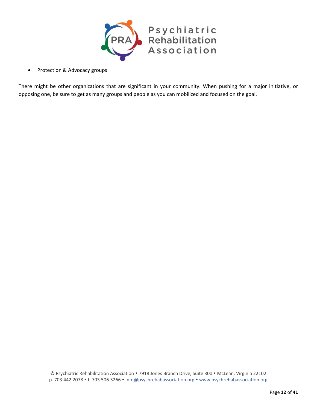

• Protection & Advocacy groups

There might be other organizations that are significant in your community. When pushing for a major initiative, or opposing one, be sure to get as many groups and people as you can mobilized and focused on the goal.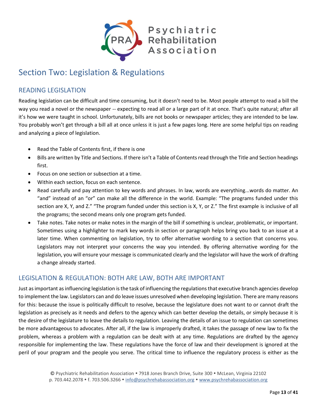

## <span id="page-12-0"></span>Section Two: Legislation & Regulations

## <span id="page-12-1"></span>READING LEGISLATION

Reading legislation can be difficult and time consuming, but it doesn't need to be. Most people attempt to read a bill the way you read a novel or the newspaper -- expecting to read all or a large part of it at once. That's quite natural; after all it's how we were taught in school. Unfortunately, bills are not books or newspaper articles; they are intended to be law. You probably won't get through a bill all at once unless it is just a few pages long. Here are some helpful tips on reading and analyzing a piece of legislation.

- Read the Table of Contents first, if there is one
- Bills are written by Title and Sections. If there isn't a Table of Contents read through the Title and Section headings first.
- Focus on one section or subsection at a time.
- Within each section, focus on each sentence.
- Read carefully and pay attention to key words and phrases. In law, words are everything...words do matter. An "and" instead of an "or" can make all the difference in the world. Example: "The programs funded under this section are X, Y, and Z." "The program funded under this section is X, Y, or Z." The first example is inclusive of all the programs; the second means only one program gets funded.
- Take notes. Take notes or make notes in the margin of the bill if something is unclear, problematic, or important. Sometimes using a highlighter to mark key words in section or paragraph helps bring you back to an issue at a later time. When commenting on legislation, try to offer alternative wording to a section that concerns you. Legislators may not interpret your concerns the way you intended. By offering alternative wording for the legislation, you will ensure your message is communicated clearly and the legislator will have the work of drafting a change already started.

## <span id="page-12-2"></span>LEGISLATION & REGULATION: BOTH ARE LAW, BOTH ARE IMPORTANT

Just as important as influencing legislation is the task of influencing the regulations that executive branch agencies develop to implement the law. Legislators can and do leave issues unresolved when developing legislation. There are many reasons for this: because the issue is politically difficult to resolve, because the legislature does not want to or cannot draft the legislation as precisely as it needs and defers to the agency which can better develop the details, or simply because it is the desire of the legislature to leave the details to regulation. Leaving the details of an issue to regulation can sometimes be more advantageous to advocates. After all, if the law is improperly drafted, it takes the passage of new law to fix the problem, whereas a problem with a regulation can be dealt with at any time. Regulations are drafted by the agency responsible for implementing the law. These regulations have the force of law and their development is ignored at the peril of your program and the people you serve. The critical time to influence the regulatory process is either as the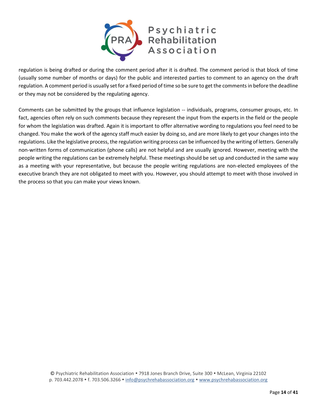

regulation is being drafted or during the comment period after it is drafted. The comment period is that block of time (usually some number of months or days) for the public and interested parties to comment to an agency on the draft regulation. A comment period is usually set for a fixed period of time so be sure to get the comments in before the deadline or they may not be considered by the regulating agency.

Comments can be submitted by the groups that influence legislation -- individuals, programs, consumer groups, etc. In fact, agencies often rely on such comments because they represent the input from the experts in the field or the people for whom the legislation was drafted. Again it is important to offer alternative wording to regulations you feel need to be changed. You make the work of the agency staff much easier by doing so, and are more likely to get your changes into the regulations. Like the legislative process, the regulation writing process can be influenced by the writing of letters. Generally non-written forms of communication (phone calls) are not helpful and are usually ignored. However, meeting with the people writing the regulations can be extremely helpful. These meetings should be set up and conducted in the same way as a meeting with your representative, but because the people writing regulations are non-elected employees of the executive branch they are not obligated to meet with you. However, you should attempt to meet with those involved in the process so that you can make your views known.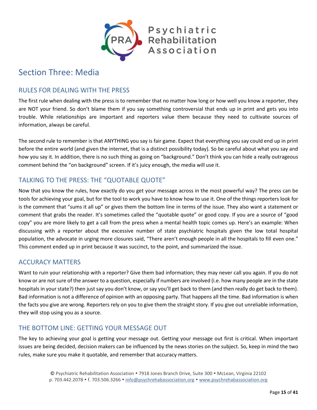

## <span id="page-14-0"></span>Section Three: Media

## <span id="page-14-1"></span>RULES FOR DEALING WITH THE PRESS

The first rule when dealing with the press is to remember that no matter how long or how well you know a reporter, they are NOT your friend. So don't blame them if you say something controversial that ends up in print and gets you into trouble. While relationships are important and reporters value them because they need to cultivate sources of information, always be careful.

The second rule to remember is that ANYTHING you say is fair game. Expect that everything you say could end up in print before the entire world (and given the internet, that is a distinct possibility today). So be careful about what you say and how you say it. In addition, there is no such thing as going on "background." Don't think you can hide a really outrageous comment behind the "on background" screen. If it's juicy enough, the media will use it.

## <span id="page-14-2"></span>TALKING TO THE PRESS: THE "QUOTABLE QUOTE"

Now that you know the rules, how exactly do you get your message across in the most powerful way? The press can be tools for achieving your goal, but for the tool to work you have to know how to use it. One of the things reporters look for is the comment that "sums it all up" or gives them the bottom line in terms of the issue. They also want a statement or comment that grabs the reader. It's sometimes called the "quotable quote" or good copy. If you are a source of "good copy" you are more likely to get a call from the press when a mental health topic comes up. Here's an example: When discussing with a reporter about the excessive number of state psychiatric hospitals given the low total hospital population, the advocate in urging more closures said, "There aren't enough people in all the hospitals to fill even one." This comment ended up in print because it was succinct, to the point, and summarized the issue.

## <span id="page-14-3"></span>ACCURACY MATTERS

Want to ruin your relationship with a reporter? Give them bad information; they may never call you again. If you do not know or are not sure of the answer to a question, especially if numbers are involved (i.e. how many people are in the state hospitals in your state?) then just say you don't know, or say you'll get back to them (and then really do get back to them). Bad information is not a difference of opinion with an opposing party. That happens all the time. Bad information is when the facts you give are wrong. Reporters rely on you to give them the straight story. If you give out unreliable information, they will stop using you as a source.

## <span id="page-14-4"></span>THE BOTTOM LINE: GETTING YOUR MESSAGE OUT

The key to achieving your goal is getting your message out. Getting your message out first is critical. When important issues are being decided, decision makers can be influenced by the news stories on the subject. So, keep in mind the two rules, make sure you make it quotable, and remember that accuracy matters.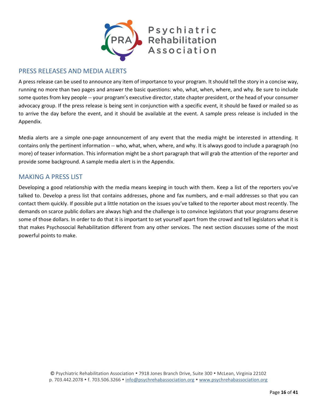

## <span id="page-15-0"></span>PRESS RELEASES AND MEDIA ALERTS

A press release can be used to announce any item of importance to your program. It should tell the story in a concise way, running no more than two pages and answer the basic questions: who, what, when, where, and why. Be sure to include some quotes from key people -- your program's executive director, state chapter president, or the head of your consumer advocacy group. If the press release is being sent in conjunction with a specific event, it should be faxed or mailed so as to arrive the day before the event, and it should be available at the event. A sample press release is included in the Appendix.

Media alerts are a simple one-page announcement of any event that the media might be interested in attending. It contains only the pertinent information -- who, what, when, where, and why. It is always good to include a paragraph (no more) of teaser information. This information might be a short paragraph that will grab the attention of the reporter and provide some background. A sample media alert is in the Appendix.

## <span id="page-15-1"></span>MAKING A PRESS LIST

Developing a good relationship with the media means keeping in touch with them. Keep a list of the reporters you've talked to. Develop a press list that contains addresses, phone and fax numbers, and e-mail addresses so that you can contact them quickly. If possible put a little notation on the issues you've talked to the reporter about most recently. The demands on scarce public dollars are always high and the challenge is to convince legislators that your programs deserve some of those dollars. In order to do that it is important to set yourself apart from the crowd and tell legislators what it is that makes Psychosocial Rehabilitation different from any other services. The next section discusses some of the most powerful points to make.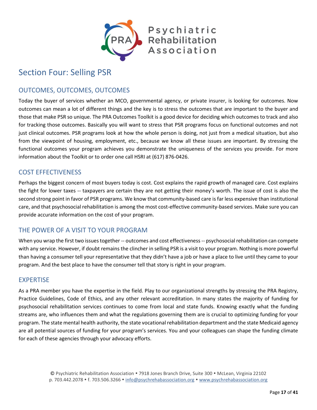

## <span id="page-16-0"></span>Section Four: Selling PSR

## <span id="page-16-1"></span>OUTCOMES, OUTCOMES, OUTCOMES

Today the buyer of services whether an MCO, governmental agency, or private insurer, is looking for outcomes. Now outcomes can mean a lot of different things and the key is to stress the outcomes that are important to the buyer and those that make PSR so unique. The PRA Outcomes Toolkit is a good device for deciding which outcomes to track and also for tracking those outcomes. Basically you will want to stress that PSR programs focus on functional outcomes and not just clinical outcomes. PSR programs look at how the whole person is doing, not just from a medical situation, but also from the viewpoint of housing, employment, etc., because we know all these issues are important. By stressing the functional outcomes your program achieves you demonstrate the uniqueness of the services you provide. For more information about the Toolkit or to order one call HSRI at (617) 876-0426.

## <span id="page-16-2"></span>COST EFFECTIVENESS

Perhaps the biggest concern of most buyers today is cost. Cost explains the rapid growth of managed care. Cost explains the fight for lower taxes -- taxpayers are certain they are not getting their money's worth. The issue of cost is also the second strong point in favor of PSR programs. We know that community-based care is far less expensive than institutional care, and that psychosocial rehabilitation is among the most cost-effective community-based services. Make sure you can provide accurate information on the cost of your program.

## <span id="page-16-3"></span>THE POWER OF A VISIT TO YOUR PROGRAM

When you wrap the first two issues together -- outcomes and cost effectiveness -- psychosocial rehabilitation can compete with any service. However, if doubt remains the clincher in selling PSR is a visit to your program. Nothing is more powerful than having a consumer tell your representative that they didn't have a job or have a place to live until they came to your program. And the best place to have the consumer tell that story is right in your program.

### <span id="page-16-4"></span>EXPERTISE

As a PRA member you have the expertise in the field. Play to our organizational strengths by stressing the PRA Registry, Practice Guidelines, Code of Ethics, and any other relevant accreditation. In many states the majority of funding for psychosocial rehabilitation services continues to come from local and state funds. Knowing exactly what the funding streams are, who influences them and what the regulations governing them are is crucial to optimizing funding for your program. The state mental health authority, the state vocational rehabilitation department and the state Medicaid agency are all potential sources of funding for your program's services. You and your colleagues can shape the funding climate for each of these agencies through your advocacy efforts.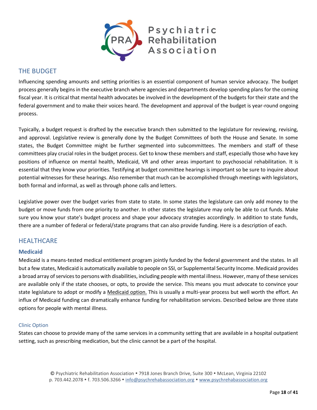

## <span id="page-17-0"></span>THE BUDGET

Influencing spending amounts and setting priorities is an essential component of human service advocacy. The budget process generally begins in the executive branch where agencies and departments develop spending plans for the coming fiscal year. It is critical that mental health advocates be involved in the development of the budgets for their state and the federal government and to make their voices heard. The development and approval of the budget is year-round ongoing process.

Typically, a budget request is drafted by the executive branch then submitted to the legislature for reviewing, revising, and approval. Legislative review is generally done by the Budget Committees of both the House and Senate. In some states, the Budget Committee might be further segmented into subcommittees. The members and staff of these committees play crucial roles in the budget process. Get to know these members and staff, especially those who have key positions of influence on mental health, Medicaid, VR and other areas important to psychosocial rehabilitation. It is essential that they know your priorities. Testifying at budget committee hearings is important so be sure to inquire about potential witnesses for these hearings. Also remember that much can be accomplished through meetings with legislators, both formal and informal, as well as through phone calls and letters.

Legislative power over the budget varies from state to state. In some states the legislature can only add money to the budget or move funds from one priority to another. In other states the legislature may only be able to cut funds. Make sure you know your state's budget process and shape your advocacy strategies accordingly. In addition to state funds, there are a number of federal or federal/state programs that can also provide funding. Here is a description of each.

### <span id="page-17-1"></span>**HEALTHCARE**

#### <span id="page-17-2"></span>**Medicaid**

Medicaid is a means-tested medical entitlement program jointly funded by the federal government and the states. In all but a few states, Medicaid is automatically available to people on SSI, or Supplemental Security Income. Medicaid provides a broad array of services to persons with disabilities, including people with mental illness. However, many of these services are available only if the state chooses, or opts, to provide the service. This means you must advocate to convince your state legislature to adopt or modify a Medicaid option. This is usually a multi-year process but well worth the effort. An influx of Medicaid funding can dramatically enhance funding for rehabilitation services. Described below are three state options for people with mental illness.

#### <span id="page-17-3"></span>Clinic Option

States can choose to provide many of the same services in a community setting that are available in a hospital outpatient setting, such as prescribing medication, but the clinic cannot be a part of the hospital.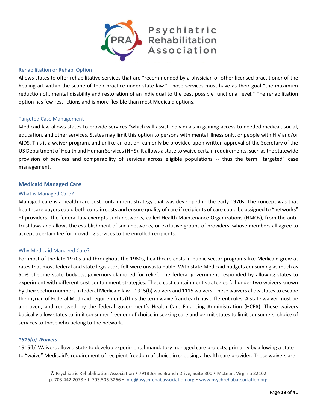

#### <span id="page-18-0"></span>Rehabilitation or Rehab. Option

Allows states to offer rehabilitative services that are "recommended by a physician or other licensed practitioner of the healing art within the scope of their practice under state law." Those services must have as their goal "the maximum reduction of...mental disability and restoration of an individual to the best possible functional level." The rehabilitation option has few restrictions and is more flexible than most Medicaid options.

#### <span id="page-18-1"></span>Targeted Case Management

Medicaid law allows states to provide services "which will assist individuals in gaining access to needed medical, social, education, and other services. States may limit this option to persons with mental illness only, or people with HIV and/or AIDS. This is a waiver program, and unlike an option, can only be provided upon written approval of the Secretary of the US Department of Health and Human Services (HHS). It allows a state to waive certain requirements, such as the statewide provision of services and comparability of services across eligible populations -- thus the term "targeted" case management.

#### <span id="page-18-2"></span>**Medicaid Managed Care**

#### <span id="page-18-3"></span>What is Managed Care?

Managed care is a health care cost containment strategy that was developed in the early 1970s. The concept was that healthcare payers could both contain costs and ensure quality of care if recipients of care could be assigned to "networks" of providers. The federal law exempts such networks, called Health Maintenance Organizations (HMOs), from the antitrust laws and allows the establishment of such networks, or exclusive groups of providers, whose members all agree to accept a certain fee for providing services to the enrolled recipients.

#### <span id="page-18-4"></span>Why Medicaid Managed Care?

For most of the late 1970s and throughout the 1980s, healthcare costs in public sector programs like Medicaid grew at rates that most federal and state legislators felt were unsustainable. With state Medicaid budgets consuming as much as 50% of some state budgets, governors clamored for relief. The federal government responded by allowing states to experiment with different cost containment strategies. These cost containment strategies fall under two waivers known by their section numbers in federal Medicaid law – 1915(b) waivers and 1115 waivers. These waivers allow states to escape the myriad of Federal Medicaid requirements (thus the term waiver) and each has different rules. A state waiver must be approved, and renewed, by the federal government's Health Care Financing Administration (HCFA). These waivers basically allow states to limit consumer freedom of choice in seeking care and permit states to limit consumers' choice of services to those who belong to the network.

#### <span id="page-18-5"></span>*1915(b) Waivers*

1915(b) Waivers allow a state to develop experimental mandatory managed care projects, primarily by allowing a state to "waive" Medicaid's requirement of recipient freedom of choice in choosing a health care provider. These waivers are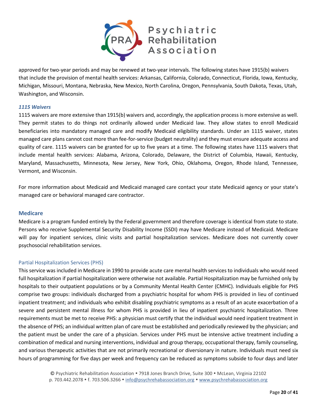

approved for two-year periods and may be renewed at two-year intervals. The following states have 1915(b) waivers that include the provision of mental health services: Arkansas, California, Colorado, Connecticut, Florida, Iowa, Kentucky, Michigan, Missouri, Montana, Nebraska, New Mexico, North Carolina, Oregon, Pennsylvania, South Dakota, Texas, Utah, Washington, and Wisconsin.

#### <span id="page-19-0"></span>*1115 Waivers*

1115 waivers are more extensive than 1915(b) waivers and, accordingly, the application process is more extensive as well. They permit states to do things not ordinarily allowed under Medicaid law. They allow states to enroll Medicaid beneficiaries into mandatory managed care and modify Medicaid eligibility standards. Under an 1115 waiver, states managed care plans cannot cost more than fee-for-service (budget neutrality) and they must ensure adequate access and quality of care. 1115 waivers can be granted for up to five years at a time. The following states have 1115 waivers that include mental health services: Alabama, Arizona, Colorado, Delaware, the District of Columbia, Hawaii, Kentucky, Maryland, Massachusetts, Minnesota, New Jersey, New York, Ohio, Oklahoma, Oregon, Rhode Island, Tennessee, Vermont, and Wisconsin.

For more information about Medicaid and Medicaid managed care contact your state Medicaid agency or your state's managed care or behavioral managed care contractor.

#### <span id="page-19-1"></span>**Medicare**

Medicare is a program funded entirely by the Federal government and therefore coverage is identical from state to state. Persons who receive Supplemental Security Disability Income (SSDI) may have Medicare instead of Medicaid. Medicare will pay for inpatient services, clinic visits and partial hospitalization services. Medicare does not currently cover psychosocial rehabilitation services.

#### <span id="page-19-2"></span>Partial Hospitalization Services (PHS)

This service was included in Medicare in 1990 to provide acute care mental health services to individuals who would need full hospitalization if partial hospitalization were otherwise not available. Partial Hospitalization may be furnished only by hospitals to their outpatient populations or by a Community Mental Health Center (CMHC). Individuals eligible for PHS comprise two groups: individuals discharged from a psychiatric hospital for whom PHS is provided in lieu of continued inpatient treatment; and individuals who exhibit disabling psychiatric symptoms as a result of an acute exacerbation of a severe and persistent mental illness for whom PHS is provided in lieu of inpatient psychiatric hospitalization. Three requirements must be met to receive PHS: a physician must certify that the individual would need inpatient treatment in the absence of PHS; an individual written plan of care must be established and periodically reviewed by the physician; and the patient must be under the care of a physician. Services under PHS must be intensive active treatment including a combination of medical and nursing interventions, individual and group therapy, occupational therapy, family counseling, and various therapeutic activities that are not primarily recreational or diversionary in nature. Individuals must need six hours of programming for five days per week and frequency can be reduced as symptoms subside to four days and later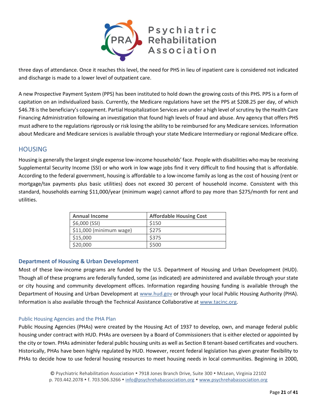

three days of attendance. Once it reaches this level, the need for PHS in lieu of inpatient care is considered not indicated and discharge is made to a lower level of outpatient care.

A new Prospective Payment System (PPS) has been instituted to hold down the growing costs of this PHS. PPS is a form of capitation on an individualized basis. Currently, the Medicare regulations have set the PPS at \$208.25 per day, of which \$46.78 is the beneficiary's copayment. Partial Hospitalization Services are under a high level of scrutiny by the Health Care Financing Administration following an investigation that found high levels of fraud and abuse. Any agency that offers PHS must adhere to the regulations rigorously or risk losing the ability to be reimbursed for any Medicare services. Information about Medicare and Medicare services is available through your state Medicare Intermediary or regional Medicare office.

### <span id="page-20-0"></span>HOUSING

Housing is generally the largest single expense low-income households' face. People with disabilities who may be receiving Supplemental Security Income (SSI) or who work in low wage jobs find it very difficult to find housing that is affordable. According to the federal government, housing is affordable to a low-income family as long as the cost of housing (rent or mortgage/tax payments plus basic utilities) does not exceed 30 percent of household income. Consistent with this standard, households earning \$11,000/year (minimum wage) cannot afford to pay more than \$275/month for rent and utilities.

| <b>Annual Income</b>     | <b>Affordable Housing Cost</b> |
|--------------------------|--------------------------------|
| \$6,000 (SSI)            | \$150                          |
| $$11,000$ (minimum wage) | \$275                          |
| \$15,000                 | \$375                          |
| \$20,000                 | \$500                          |

#### <span id="page-20-1"></span>**Department of Housing & Urban Development**

Most of these low-income programs are funded by the U.S. Department of Housing and Urban Development (HUD). Though all of these programs are federally funded, some (as indicated) are administered and available through your state or city housing and community development offices. Information regarding housing funding is available through the Department of Housing and Urban Development at www.hud.gov or through your local Public Housing Authority (PHA). Information is also available through the Technical Assistance Collaborative at www.tacinc.org.

#### <span id="page-20-2"></span>Public Housing Agencies and the PHA Plan

Public Housing Agencies (PHAs) were created by the Housing Act of 1937 to develop, own, and manage federal public housing under contract with HUD. PHAs are overseen by a Board of Commissioners that is either elected or appointed by the city or town. PHAs administer federal public housing units as well as Section 8 tenant-based certificates and vouchers. Historically, PHAs have been highly regulated by HUD. However, recent federal legislation has given greater flexibility to PHAs to decide how to use federal housing resources to meet housing needs in local communities. Beginning in 2000,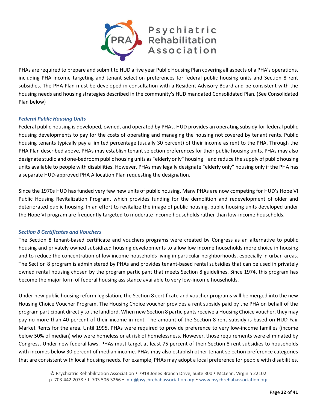

PHAs are required to prepare and submit to HUD a five year Public Housing Plan covering all aspects of a PHA's operations, including PHA income targeting and tenant selection preferences for federal public housing units and Section 8 rent subsidies. The PHA Plan must be developed in consultation with a Resident Advisory Board and be consistent with the housing needs and housing strategies described in the community's HUD mandated Consolidated Plan. (See Consolidated Plan below)

#### <span id="page-21-0"></span>*Federal Public Housing Units*

Federal public housing is developed, owned, and operated by PHAs. HUD provides an operating subsidy for federal public housing developments to pay for the costs of operating and managing the housing not covered by tenant rents. Public housing tenants typically pay a limited percentage (usually 30 percent) of their income as rent to the PHA. Through the PHA Plan described above, PHAs may establish tenant selection preferences for their public housing units. PHAs may also designate studio and one-bedroom public housing units as "elderly only" housing – and reduce the supply of public housing units available to people with disabilities. However, PHAs may legally designate "elderly only" housing only if the PHA has a separate HUD-approved PHA Allocation Plan requesting the designation.

Since the 1970s HUD has funded very few new units of public housing. Many PHAs are now competing for HUD's Hope VI Public Housing Revitalization Program, which provides funding for the demolition and redevelopment of older and deteriorated public housing. In an effort to revitalize the image of public housing, public housing units developed under the Hope VI program are frequently targeted to moderate income households rather than low-income households.

#### <span id="page-21-1"></span>*Section 8 Certificates and Vouchers*

The Section 8 tenant-based certificate and vouchers programs were created by Congress as an alternative to public housing and privately owned subsidized housing developments to allow low income households more choice in housing and to reduce the concentration of low income households living in particular neighborhoods, especially in urban areas. The Section 8 program is administered by PHAs and provides tenant-based rental subsidies that can be used in privately owned rental housing chosen by the program participant that meets Section 8 guidelines. Since 1974, this program has become the major form of federal housing assistance available to very low-income households.

Under new public housing reform legislation, the Section 8 certificate and voucher programs will be merged into the new Housing Choice Voucher Program. The Housing Choice voucher provides a rent subsidy paid by the PHA on behalf of the program participant directly to the landlord. When new Section 8 participants receive a Housing Choice voucher, they may pay no more than 40 percent of their income in rent. The amount of the Section 8 rent subsidy is based on HUD Fair Market Rents for the area. Until 1995, PHAs were required to provide preference to very low-income families (income below 50% of median) who were homeless or at risk of homelessness. However, those requirements were eliminated by Congress. Under new federal laws, PHAs must target at least 75 percent of their Section 8 rent subsidies to households with incomes below 30 percent of median income. PHAs may also establish other tenant selection preference categories that are consistent with local housing needs. For example, PHAs may adopt a local preference for people with disabilities,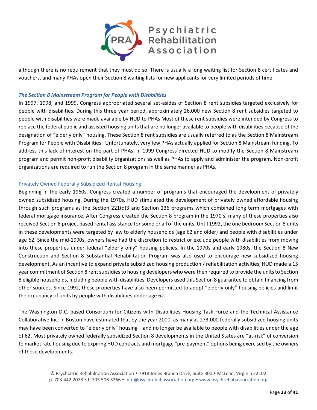

although there is no requirement that they must do so. There is usually a long waiting list for Section 8 certificates and vouchers, and many PHAs open their Section 8 waiting lists for new applicants for very limited periods of time.

#### <span id="page-22-0"></span>*The Section 8 Mainstream Program for People with Disabilities*

In 1997, 1998, and 1999, Congress appropriated several set-asides of Section 8 rent subsidies targeted exclusively for people with disabilities. During this three year period, approximately 26,000 new Section 8 rent subsidies targeted to people with disabilities were made available by HUD to PHAs Most of these rent subsidies were intended by Congress to replace the federal public and assisted housing units that are no longer available to people with disabilities because of the designation of "elderly only" housing. These Section 8 rent subsidies are usually referred to as the Section 8 Mainstream Program for People with Disabilities. Unfortunately, very few PHAs actually applied for Section 8 Mainstream funding. To address this lack of interest on the part of PHAs, in 1999 Congress directed HUD to modify the Section 8 Mainstream program and permit non-profit disability organizations as well as PHAs to apply and administer the program. Non-profit organizations are required to run the Section 8 program in the same manner as PHAs.

#### <span id="page-22-1"></span>Privately Owned Federally Subsidized Rental Housing

Beginning in the early 1960s, Congress created a number of programs that encouraged the development of privately owned subsidized housing. During the 1970s, HUD stimulated the development of privately owned affordable housing through such programs as the Section 221(d)3 and Section 236 programs which combined long term mortgages with federal mortgage insurance. After Congress created the Section 8 program in the 1970's, many of these properties also received Section 8 project based rental assistance for some or all of the units. Until 1992, the one bedroom Section 8 units in these developments were targeted by law to elderly households (age 62 and older) and people with disabilities under age 62. Since the mid-1990s, owners have had the discretion to restrict or exclude people with disabilities from moving into these properties under federal "elderly only" housing policies. In the 1970s and early 1980s, the Section 8 New Construction and Section 8 Substantial Rehabilitation Program was also used to encourage new subsidized housing development. As an incentive to expand private subsidized housing production / rehabilitation activities, HUD made a 15 year commitment of Section 8 rent subsidies to housing developers who were then required to provide the units to Section 8 eligible households, including people with disabilities. Developers used this Section 8 guarantee to obtain financing from other sources. Since 1992, these properties have also been permitted to adopt "elderly only" housing policies and limit the occupancy of units by people with disabilities under age 62.

The Washington D.C. based Consortium for Citizens with Disabilities Housing Task Force and the Technical Assistance Collaborative Inc. in Boston have estimated that by the year 2000, as many as 273,000 federally subsidized housing units may have been converted to "elderly only" housing – and no longer be available to people with disabilities under the age of 62. Most privately owned federally subsidized Section 8 developments in the United States are "at-risk" of conversion to market rate housing due to expiring HUD contracts and mortgage "pre-payment" options being exercised by the owners of these developments.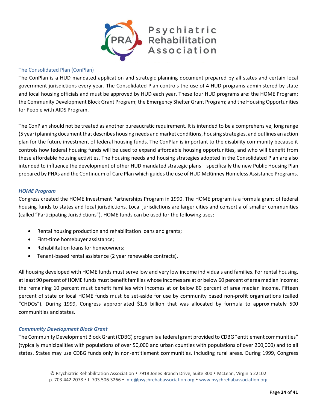

#### <span id="page-23-0"></span>The Consolidated Plan (ConPlan)

The ConPlan is a HUD mandated application and strategic planning document prepared by all states and certain local government jurisdictions every year. The Consolidated Plan controls the use of 4 HUD programs administered by state and local housing officials and must be approved by HUD each year. These four HUD programs are: the HOME Program; the Community Development Block Grant Program; the Emergency Shelter Grant Program; and the Housing Opportunities for People with AIDS Program.

The ConPlan should not be treated as another bureaucratic requirement. It is intended to be a comprehensive, long range (5 year) planning document that describes housing needs and market conditions, housing strategies, and outlines an action plan for the future investment of federal housing funds. The ConPlan is important to the disability community because it controls how federal housing funds will be used to expand affordable housing opportunities, and who will benefit from these affordable housing activities. The housing needs and housing strategies adopted in the Consolidated Plan are also intended to influence the development of other HUD mandated strategic plans – specifically the new Public Housing Plan prepared by PHAs and the Continuum of Care Plan which guides the use of HUD McKinney Homeless Assistance Programs.

#### <span id="page-23-1"></span>*HOME Program*

Congress created the HOME Investment Partnerships Program in 1990. The HOME program is a formula grant of federal housing funds to states and local jurisdictions. Local jurisdictions are larger cities and consortia of smaller communities (called "Participating Jurisdictions"). HOME funds can be used for the following uses:

- Rental housing production and rehabilitation loans and grants;
- First-time homebuyer assistance;
- Rehabilitation loans for homeowners;
- Tenant-based rental assistance (2 year renewable contracts).

All housing developed with HOME funds must serve low and very low income individuals and families. For rental housing, at least 90 percent of HOME funds must benefit families whose incomes are at or below 60 percent of area median income; the remaining 10 percent must benefit families with incomes at or below 80 percent of area median income. Fifteen percent of state or local HOME funds must be set-aside for use by community based non-profit organizations (called "CHDOs"). During 1999, Congress appropriated \$1.6 billion that was allocated by formula to approximately 500 communities and states.

#### <span id="page-23-2"></span>*Community Development Block Grant*

The Community Development Block Grant (CDBG) program is a federal grant provided to CDBG "entitlement communities" (typically municipalities with populations of over 50,000 and urban counties with populations of over 200,000) and to all states. States may use CDBG funds only in non-entitlement communities, including rural areas. During 1999, Congress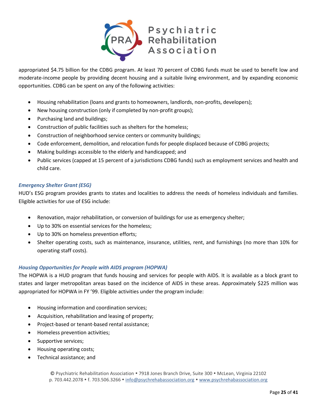

appropriated \$4.75 billion for the CDBG program. At least 70 percent of CDBG funds must be used to benefit low and moderate-income people by providing decent housing and a suitable living environment, and by expanding economic opportunities. CDBG can be spent on any of the following activities:

- Housing rehabilitation (loans and grants to homeowners, landlords, non-profits, developers);
- New housing construction (only if completed by non-profit groups);
- Purchasing land and buildings;
- Construction of public facilities such as shelters for the homeless;
- Construction of neighborhood service centers or community buildings;
- Code enforcement, demolition, and relocation funds for people displaced because of CDBG projects;
- Making buildings accessible to the elderly and handicapped; and
- Public services (capped at 15 percent of a jurisdictions CDBG funds) such as employment services and health and child care.

#### <span id="page-24-0"></span>*Emergency Shelter Grant (ESG)*

HUD's ESG program provides grants to states and localities to address the needs of homeless individuals and families. Eligible activities for use of ESG include:

- Renovation, major rehabilitation, or conversion of buildings for use as emergency shelter;
- Up to 30% on essential services for the homeless;
- Up to 30% on homeless prevention efforts;
- Shelter operating costs, such as maintenance, insurance, utilities, rent, and furnishings (no more than 10% for operating staff costs).

#### <span id="page-24-1"></span>*Housing Opportunities for People with AIDS program (HOPWA)*

The HOPWA is a HUD program that funds housing and services for people with AIDS. It is available as a block grant to states and larger metropolitan areas based on the incidence of AIDS in these areas. Approximately \$225 million was appropriated for HOPWA in FY '99. Eligible activities under the program include:

- Housing information and coordination services;
- Acquisition, rehabilitation and leasing of property;
- Project-based or tenant-based rental assistance;
- Homeless prevention activities;
- Supportive services;
- Housing operating costs;
- Technical assistance; and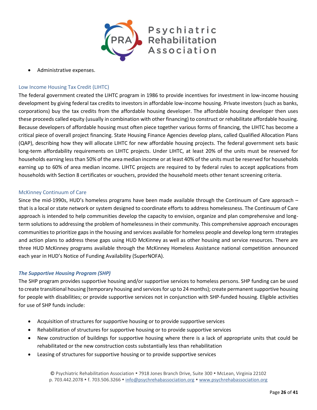

• Administrative expenses.

#### <span id="page-25-0"></span>Low Income Housing Tax Credit (LIHTC)

The federal government created the LIHTC program in 1986 to provide incentives for investment in low-income housing development by giving federal tax credits to investors in affordable low-income housing. Private investors (such as banks, corporations) buy the tax credits from the affordable housing developer. The affordable housing developer then uses these proceeds called equity (usually in combination with other financing) to construct or rehabilitate affordable housing. Because developers of affordable housing must often piece together various forms of financing, the LIHTC has become a critical piece of overall project financing. State Housing Finance Agencies develop plans, called Qualified Allocation Plans (QAP), describing how they will allocate LIHTC for new affordable housing projects. The federal government sets basic long-term affordability requirements on LIHTC projects. Under LIHTC, at least 20% of the units must be reserved for households earning less than 50% of the area median income or at least 40% of the units must be reserved for households earning up to 60% of area median income. LIHTC projects are required to by federal rules to accept applications from households with Section 8 certificates or vouchers, provided the household meets other tenant screening criteria.

#### <span id="page-25-1"></span>McKinney Continuum of Care

Since the mid-1990s, HUD's homeless programs have been made available through the Continuum of Care approach – that is a local or state network or system designed to coordinate efforts to address homelessness. The Continuum of Care approach is intended to help communities develop the capacity to envision, organize and plan comprehensive and longterm solutions to addressing the problem of homelessness in their community. This comprehensive approach encourages communities to prioritize gaps in the housing and services available for homeless people and develop long term strategies and action plans to address these gaps using HUD McKinney as well as other housing and service resources. There are three HUD McKinney programs available through the McKinney Homeless Assistance national competition announced each year in HUD's Notice of Funding Availability (SuperNOFA).

#### <span id="page-25-2"></span>*The Supportive Housing Program (SHP)*

The SHP program provides supportive housing and/or supportive services to homeless persons. SHP funding can be used to create transitional housing (temporary housing and services for up to 24 months); create permanent supportive housing for people with disabilities; or provide supportive services not in conjunction with SHP-funded housing. Eligible activities for use of SHP funds include:

- Acquisition of structures for supportive housing or to provide supportive services
- Rehabilitation of structures for supportive housing or to provide supportive services
- New construction of buildings for supportive housing where there is a lack of appropriate units that could be rehabilitated or the new construction costs substantially less than rehabilitation
- Leasing of structures for supportive housing or to provide supportive services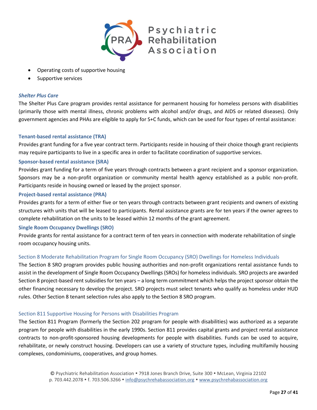

- Operating costs of supportive housing
- Supportive services

#### <span id="page-26-0"></span>*Shelter Plus Care*

The Shelter Plus Care program provides rental assistance for permanent housing for homeless persons with disabilities (primarily those with mental illness, chronic problems with alcohol and/or drugs, and AIDS or related diseases). Only government agencies and PHAs are eligible to apply for S+C funds, which can be used for four types of rental assistance:

#### <span id="page-26-1"></span>**Tenant-based rental assistance (TRA)**

Provides grant funding for a five year contract term. Participants reside in housing of their choice though grant recipients may require participants to live in a specific area in order to facilitate coordination of supportive services.

#### <span id="page-26-2"></span>**Sponsor-based rental assistance (SRA)**

Provides grant funding for a term of five years through contracts between a grant recipient and a sponsor organization. Sponsors may be a non-profit organization or community mental health agency established as a public non-profit. Participants reside in housing owned or leased by the project sponsor.

#### <span id="page-26-3"></span>**Project-based rental assistance (PRA)**

Provides grants for a term of either five or ten years through contracts between grant recipients and owners of existing structures with units that will be leased to participants. Rental assistance grants are for ten years if the owner agrees to complete rehabilitation on the units to be leased within 12 months of the grant agreement.

#### <span id="page-26-4"></span>**Single Room Occupancy Dwellings (SRO)**

Provide grants for rental assistance for a contract term of ten years in connection with moderate rehabilitation of single room occupancy housing units.

#### <span id="page-26-5"></span>Section 8 Moderate Rehabilitation Program for Single Room Occupancy (SRO) Dwellings for Homeless Individuals

The Section 8 SRO program provides public housing authorities and non-profit organizations rental assistance funds to assist in the development of Single Room Occupancy Dwellings (SROs) for homeless individuals. SRO projects are awarded Section 8 project-based rent subsidies for ten years – a long term commitment which helps the project sponsor obtain the other financing necessary to develop the project. SRO projects must select tenants who qualify as homeless under HUD rules. Other Section 8 tenant selection rules also apply to the Section 8 SRO program.

#### <span id="page-26-6"></span>Section 811 Supportive Housing for Persons with Disabilities Program

The Section 811 Program (formerly the Section 202 program for people with disabilities) was authorized as a separate program for people with disabilities in the early 1990s. Section 811 provides capital grants and project rental assistance contracts to non-profit-sponsored housing developments for people with disabilities. Funds can be used to acquire, rehabilitate, or newly construct housing. Developers can use a variety of structure types, including multifamily housing complexes, condominiums, cooperatives, and group homes.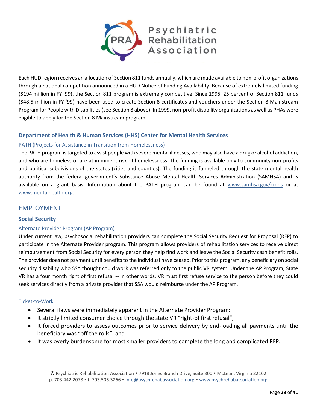

Each HUD region receives an allocation of Section 811 funds annually, which are made available to non-profit organizations through a national competition announced in a HUD Notice of Funding Availability. Because of extremely limited funding (\$194 million in FY '99), the Section 811 program is extremely competitive. Since 1995, 25 percent of Section 811 funds (\$48.5 million in FY '99) have been used to create Section 8 certificates and vouchers under the Section 8 Mainstream Program for People with Disabilities (see Section 8 above). In 1999, non-profit disability organizations as well as PHAs were eligible to apply for the Section 8 Mainstream program.

#### <span id="page-27-0"></span>**Department of Health & Human Services (HHS) Center for Mental Health Services**

#### <span id="page-27-1"></span>PATH (Projects for Assistance in Transition from Homelessness)

The PATH program is targeted to assist people with severe mental illnesses, who may also have a drug or alcohol addiction, and who are homeless or are at imminent risk of homelessness. The funding is available only to community non-profits and political subdivisions of the states (cities and counties). The funding is funneled through the state mental health authority from the federal government's Substance Abuse Mental Health Services Administration (SAMHSA) and is available on a grant basis. Information about the PATH program can be found at www.samhsa.gov/cmhs or at www.mentalhealth.org.

#### <span id="page-27-2"></span>EMPLOYMENT

#### <span id="page-27-3"></span>**Social Security**

#### <span id="page-27-4"></span>Alternate Provider Program (AP Program)

Under current law, psychosocial rehabilitation providers can complete the Social Security Request for Proposal (RFP) to participate in the Alternate Provider program. This program allows providers of rehabilitation services to receive direct reimbursement from Social Security for every person they help find work and leave the Social Security cash benefit rolls. The provider does not payment until benefits to the individual have ceased. Prior to this program, any beneficiary on social security disability who SSA thought could work was referred only to the public VR system. Under the AP Program, State VR has a four month right of first refusal -- in other words, VR must first refuse service to the person before they could seek services directly from a private provider that SSA would reimburse under the AP Program.

#### <span id="page-27-5"></span>Ticket-to-Work

- Several flaws were immediately apparent in the Alternate Provider Program:
- It strictly limited consumer choice through the state VR "right-of first refusal";
- It forced providers to assess outcomes prior to service delivery by end-loading all payments until the beneficiary was "off the rolls"; and
- It was overly burdensome for most smaller providers to complete the long and complicated RFP.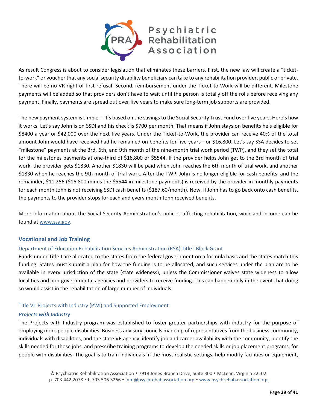

As result Congress is about to consider legislation that eliminates these barriers. First, the new law will create a "ticketto-work" or voucher that any social security disability beneficiary can take to any rehabilitation provider, public or private. There will be no VR right of first refusal. Second, reimbursement under the Ticket-to-Work will be different. Milestone payments will be added so that providers don't have to wait until the person is totally off the rolls before receiving any payment. Finally, payments are spread out over five years to make sure long-term job supports are provided.

The new payment system is simple -- it's based on the savings to the Social Security Trust Fund over five years. Here's how it works. Let's say John is on SSDI and his check is \$700 per month. That means if John stays on benefits he's eligible for \$8400 a year or \$42,000 over the next five years. Under the Ticket-to-Work, the provider can receive 40% of the total amount John would have received had he remained on benefits for five years—or \$16,800. Let's say SSA decides to set "milestone" payments at the 3rd, 6th, and 9th month of the nine-month trial work period (TWP), and they set the total for the milestones payments at one-third of \$16,800 or \$5544. If the provider helps John get to the 3rd month of trial work, the provider gets \$1830. Another \$1830 will be paid when John reaches the 6th month of trial work, and another \$1830 when he reaches the 9th month of trial work. After the TWP, John is no longer eligible for cash benefits, and the remainder, \$11,256 (\$16,800 minus the \$5544 in milestone payments) is received by the provider in monthly payments for each month John is not receiving SSDI cash benefits (\$187.60/month). Now, if John has to go back onto cash benefits, the payments to the provider stops for each and every month John received benefits.

More information about the Social Security Administration's policies affecting rehabilitation, work and income can be found at [www.ssa.gov.](http://www.ssa.gov/)

#### <span id="page-28-0"></span>**Vocational and Job Training**

#### <span id="page-28-1"></span>Department of Education Rehabilitation Services Administration (RSA) Title I Block Grant

Funds under Title I are allocated to the states from the federal government on a formula basis and the states match this funding. States must submit a plan for how the funding is to be allocated, and such services under the plan are to be available in every jurisdiction of the state (state wideness), unless the Commissioner waives state wideness to allow localities and non-governmental agencies and providers to receive funding. This can happen only in the event that doing so would assist in the rehabilitation of large number of individuals.

#### <span id="page-28-2"></span>Title VI: Projects with Industry (PWI) and Supported Employment

#### <span id="page-28-3"></span>*Projects with Industry*

The Projects with Industry program was established to foster greater partnerships with industry for the purpose of employing more people disabilities. Business advisory councils made up of representatives from the business community, individuals with disabilities, and the state VR agency, identify job and career availability with the community, identify the skills needed for those jobs, and prescribe training programs to develop the needed skills or job placement programs, for people with disabilities. The goal is to train individuals in the most realistic settings, help modify facilities or equipment,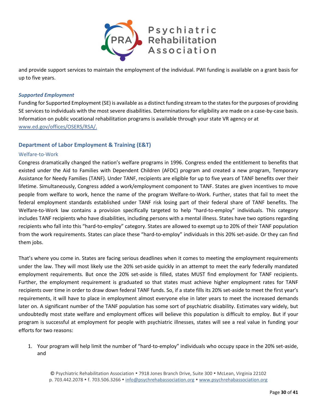

and provide support services to maintain the employment of the individual. PWI funding is available on a grant basis for up to five years.

#### <span id="page-29-0"></span>*Supported Employment*

Funding for Supported Employment (SE) is available as a distinct funding stream to the states for the purposes of providing SE services to individuals with the most severe disabilities. Determinations for eligibility are made on a case-by-case basis. Information on public vocational rehabilitation programs is available through your state VR agency or at www.ed.gov/offices/OSERS/RSA/.

#### <span id="page-29-1"></span>**Department of Labor Employment & Training (E&T)**

#### <span id="page-29-2"></span>Welfare-to-Work

Congress dramatically changed the nation's welfare programs in 1996. Congress ended the entitlement to benefits that existed under the Aid to Families with Dependent Children (AFDC) program and created a new program, Temporary Assistance for Needy Families (TANF). Under TANF, recipients are eligible for up to five years of TANF benefits over their lifetime. Simultaneously, Congress added a work/employment component to TANF. States are given incentives to move people from welfare to work, hence the name of the program Welfare-to-Work. Further, states that fail to meet the federal employment standards established under TANF risk losing part of their federal share of TANF benefits. The Welfare-to-Work law contains a provision specifically targeted to help "hard-to-employ" individuals. This category includes TANF recipients who have disabilities, including persons with a mental illness. States have two options regarding recipients who fall into this "hard-to-employ" category. States are allowed to exempt up to 20% of their TANF population from the work requirements. States can place these "hard-to-employ" individuals in this 20% set-aside. Or they can find them jobs.

That's where you come in. States are facing serious deadlines when it comes to meeting the employment requirements under the law. They will most likely use the 20% set-aside quickly in an attempt to meet the early federally mandated employment requirements. But once the 20% set-aside is filled, states MUST find employment for TANF recipients. Further, the employment requirement is graduated so that states must achieve higher employment rates for TANF recipients over time in order to draw down federal TANF funds. So, if a state fills its 20% set-aside to meet the first year's requirements, it will have to place in employment almost everyone else in later years to meet the increased demands later on. A significant number of the TANF population has some sort of psychiatric disability. Estimates vary widely, but undoubtedly most state welfare and employment offices will believe this population is difficult to employ. But if your program is successful at employment for people with psychiatric illnesses, states will see a real value in funding your efforts for two reasons:

1. Your program will help limit the number of "hard-to-employ" individuals who occupy space in the 20% set-aside, and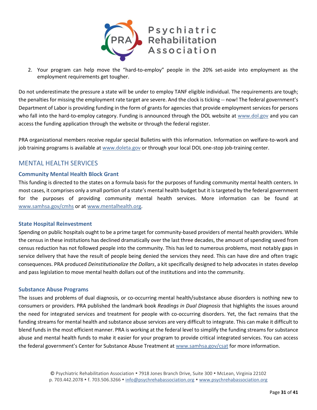

2. Your program can help move the "hard-to-employ" people in the 20% set-aside into employment as the employment requirements get tougher.

Do not underestimate the pressure a state will be under to employ TANF eligible individual. The requirements are tough; the penalties for missing the employment rate target are severe. And the clock is ticking -- now! The federal government's Department of Labor is providing funding in the form of grants for agencies that provide employment services for persons who fall into the hard-to-employ category. Funding is announced through the DOL website at www.dol.gov and you can access the funding application through the website or through the federal register.

PRA organizational members receive regular special Bulletins with this information. Information on welfare-to-work and job training programs is available at www.doleta.gov or through your local DOL one-stop job-training center.

## <span id="page-30-0"></span>MENTAL HEALTH SERVICES

#### <span id="page-30-1"></span>**Community Mental Health Block Grant**

This funding is directed to the states on a formula basis for the purposes of funding community mental health centers. In most cases, it comprises only a small portion of a state's mental health budget but it is targeted by the federal government for the purposes of providing community mental health services. More information can be found at www.samhsa.gov/cmhs or at www.mentalhealth.org.

#### <span id="page-30-2"></span>**State Hospital Reinvestment**

Spending on public hospitals ought to be a prime target for community-based providers of mental health providers. While the census in these institutions has declined dramatically over the last three decades, the amount of spending saved from census reduction has not followed people into the community. This has led to numerous problems, most notably gaps in service delivery that have the result of people being denied the services they need. This can have dire and often tragic consequences. PRA produced *Deinstitutionalize the Dollars*, a kit specifically designed to help advocates in states develop and pass legislation to move mental health dollars out of the institutions and into the community.

#### <span id="page-30-3"></span>**Substance Abuse Programs**

The issues and problems of dual diagnosis, or co-occurring mental health/substance abuse disorders is nothing new to consumers or providers. PRA published the landmark book *Readings in Dual Diagnosis* that highlights the issues around the need for integrated services and treatment for people with co-occurring disorders. Yet, the fact remains that the funding streams for mental health and substance abuse services are very difficult to integrate. This can make it difficult to blend funds in the most efficient manner. PRA is working at the federal level to simplify the funding streams for substance abuse and mental health funds to make it easier for your program to provide critical integrated services. You can access the federal government's Center for Substance Abuse Treatment at www.samhsa.gov/csat for more information.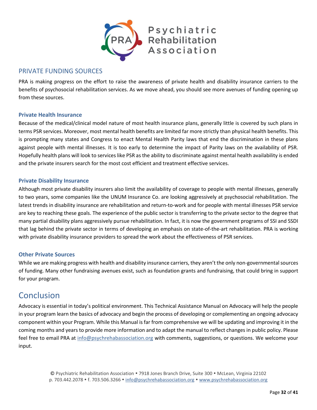

### <span id="page-31-0"></span>PRIVATE FUNDING SOURCES

PRA is making progress on the effort to raise the awareness of private health and disability insurance carriers to the benefits of psychosocial rehabilitation services. As we move ahead, you should see more avenues of funding opening up from these sources.

#### <span id="page-31-1"></span>**Private Health Insurance**

Because of the medical/clinical model nature of most health insurance plans, generally little is covered by such plans in terms PSR services. Moreover, most mental health benefits are limited far more strictly than physical health benefits. This is prompting many states and Congress to enact Mental Health Parity laws that end the discrimination in these plans against people with mental illnesses. It is too early to determine the impact of Parity laws on the availability of PSR. Hopefully health plans will look to services like PSR as the ability to discriminate against mental health availability is ended and the private insurers search for the most cost efficient and treatment effective services.

#### <span id="page-31-2"></span>**Private Disability Insurance**

Although most private disability insurers also limit the availability of coverage to people with mental illnesses, generally to two years, some companies like the UNUM Insurance Co. are looking aggressively at psychosocial rehabilitation. The latest trends in disability insurance are rehabilitation and return-to-work and for people with mental illnesses PSR service are key to reaching these goals. The experience of the public sector is transferring to the private sector to the degree that many partial disability plans aggressively pursue rehabilitation. In fact, it is now the government programs of SSI and SSDI that lag behind the private sector in terms of developing an emphasis on state-of-the-art rehabilitation. PRA is working with private disability insurance providers to spread the work about the effectiveness of PSR services.

#### <span id="page-31-3"></span>**Other Private Sources**

While we are making progress with health and disability insurance carriers, they aren't the only non-governmental sources of funding. Many other fundraising avenues exist, such as foundation grants and fundraising, that could bring in support for your program.

## <span id="page-31-4"></span>**Conclusion**

Advocacy is essential in today's political environment. This Technical Assistance Manual on Advocacy will help the people in your program learn the basics of advocacy and begin the process of developing or complementing an ongoing advocacy component within your Program. While this Manual is far from comprehensive we will be updating and improving it in the coming months and years to provide more information and to adapt the manual to reflect changes in public policy. Please feel free to email PRA at [info@psychrehabassociation.org](mailto:info@psychrehabassociation.org) with comments, suggestions, or questions. We welcome your input.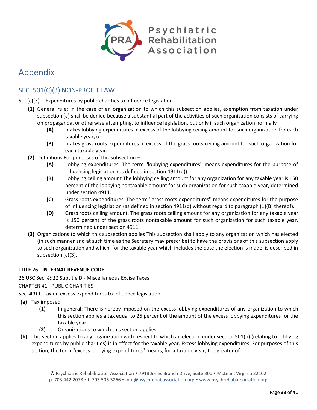

## <span id="page-32-0"></span>Appendix

## <span id="page-32-1"></span>SEC. 501(C)(3) NON-PROFIT LAW

501(c)(3) -- Expenditures by public charities to influence legislation

- **(1)** General rule: In the case of an organization to which this subsection applies, exemption from taxation under subsection (a) shall be denied because a substantial part of the activities of such organization consists of carrying on propaganda, or otherwise attempting, to influence legislation, but only if such organization normally –
	- **(A)** makes lobbying expenditures in excess of the lobbying ceiling amount for such organization for each taxable year, or
	- **(B)** makes grass roots expenditures in excess of the grass roots ceiling amount for such organization for each taxable year.
- **(2)** Definitions For purposes of this subsection
	- **(A)** Lobbying expenditures. The term ''lobbying expenditures'' means expenditures for the purpose of influencing legislation (as defined in section 4911(d)).
	- **(B)** Lobbying ceiling amount The lobbying ceiling amount for any organization for any taxable year is 150 percent of the lobbying nontaxable amount for such organization for such taxable year, determined under section 4911.
	- **(C)** Grass roots expenditures. The term ''grass roots expenditures'' means expenditures for the purpose of influencing legislation (as defined in section 4911(d) without regard to paragraph (1)(B) thereof).
	- **(D)** Grass roots ceiling amount. The grass roots ceiling amount for any organization for any taxable year is 150 percent of the grass roots nontaxable amount for such organization for such taxable year, determined under section 4911.
- **(3)** Organizations to which this subsection applies This subsection shall apply to any organization which has elected (in such manner and at such time as the Secretary may prescribe) to have the provisions of this subsection apply to such organization and which, for the taxable year which includes the date the election is made, is described in subsection (c)(3).

#### **TITLE 26 - INTERNAL REVENUE CODE**

26 USC Sec. *4911* Subtitle D - Miscellaneous Excise Taxes

#### CHAPTER 41 - PUBLIC CHARITIES

- Sec. *4911*. Tax on excess expenditures to influence legislation
- **(a)** Tax imposed
	- **(1)** In general: There is hereby imposed on the excess lobbying expenditures of any organization to which this section applies a tax equal to 25 percent of the amount of the excess lobbying expenditures for the taxable year.
	- **(2)** Organizations to which this section applies
- **(b)** This section applies to any organization with respect to which an election under section 501(h) (relating to lobbying expenditures by public charities) is in effect for the taxable year. Excess lobbying expenditures: For purposes of this section, the term ''excess lobbying expenditures'' means, for a taxable year, the greater of: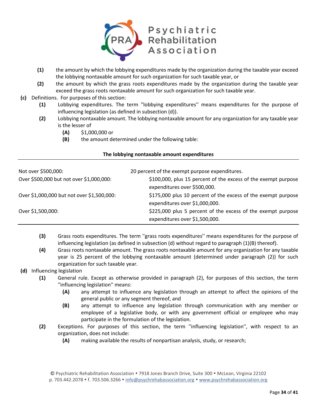

- **(1)** the amount by which the lobbying expenditures made by the organization during the taxable year exceed the lobbying nontaxable amount for such organization for such taxable year, or
- **(2)** the amount by which the grass roots expenditures made by the organization during the taxable year exceed the grass roots nontaxable amount for such organization for such taxable year.
- **(c)** Definitions. For purposes of this section:
	- **(1)** Lobbying expenditures. The term ''lobbying expenditures'' means expenditures for the purpose of influencing legislation (as defined in subsection (d)).
	- **(2)** Lobbying nontaxable amount. The lobbying nontaxable amount for any organization for any taxable year is the lesser of
		- **(A)** \$1,000,000 or
		- **(B)** the amount determined under the following table:

#### **The lobbying nontaxable amount expenditures**

| Not over \$500,000:                        | 20 percent of the exempt purpose expenditures.                                                  |
|--------------------------------------------|-------------------------------------------------------------------------------------------------|
| Over \$500,000 but not over \$1,000,000:   | \$100,000, plus 15 percent of the excess of the exempt purpose<br>expenditures over \$500,000.  |
| Over \$1,000,000 but not over \$1,500,000: | \$175,000 plus 10 percent of the excess of the exempt purpose<br>expenditures over \$1,000,000. |
| Over \$1,500,000:                          | \$225,000 plus 5 percent of the excess of the exempt purpose<br>expenditures over \$1,500,000.  |

- **(3)** Grass roots expenditures. The term ''grass roots expenditures'' means expenditures for the purpose of influencing legislation (as defined in subsection (d) without regard to paragraph (1)(B) thereof).
- **(4)** Grass roots nontaxable amount. The grass roots nontaxable amount for any organization for any taxable year is 25 percent of the lobbying nontaxable amount (determined under paragraph (2)) for such organization for such taxable year.
- **(d)** Influencing legislation
	- **(1)** General rule. Except as otherwise provided in paragraph (2), for purposes of this section, the term ''influencing legislation'' means:
		- **(A)** any attempt to influence any legislation through an attempt to affect the opinions of the general public or any segment thereof, and
		- **(B)** any attempt to influence any legislation through communication with any member or employee of a legislative body, or with any government official or employee who may participate in the formulation of the legislation.
	- **(2)** Exceptions. For purposes of this section, the term ''influencing legislation'', with respect to an organization, does not include:
		- **(A)** making available the results of nonpartisan analysis, study, or research;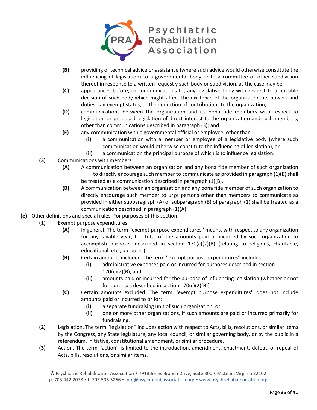

- **(B)** providing of technical advice or assistance (where such advice would otherwise constitute the influencing of legislation) to a governmental body or to a committee or other subdivision thereof in response to a written request y such body or subdivision, as the case may be;
- **(C)** appearances before, or communications to, any legislative body with respect to a possible decision of such body which might affect the existence of the organization, its powers and duties, tax-exempt status, or the deduction of contributions to the organization;
- **(D)** communications between the organization and its bona fide members with respect to legislation or proposed legislation of direct interest to the organization and such members, other than communications described in paragraph (3); and
- **(E)** any communication with a governmental official or employee, other than
	- **(i)** a communication with a member or employee of a legislative body (where such communication would otherwise constitute the influencing of legislation), or
	- **(ii)** a communication the principal purpose of which is to influence legislation.
- **(3)** Communications with members
	- **(A)** A communication between an organization and any bona fide member of such organization to directly encourage such member to communicate as provided in paragraph (1)(B) shall be treated as a communication described in paragraph (1)(B).
	- **(B)** A communication between an organization and any bona fide member of such organization to directly encourage such member to urge persons other than members to communicate as provided in either subparagraph (A) or subparagraph (B) of paragraph (1) shall be treated as a communication described in paragraph (1)(A).
- **(e)** Other definitions and special rules. For purposes of this section
	- **(1)** Exempt purpose expenditures
		- **(A)** In general. The term ''exempt purpose expenditures'' means, with respect to any organization for any taxable year, the total of the amounts paid or incurred by such organization to accomplish purposes described in section  $170(c)(2)(B)$  (relating to religious, charitable, educational, etc., purposes).
		- **(B)** Certain amounts included. The term ''exempt purpose expenditures'' includes:
			- **(i)** administrative expenses paid or incurred for purposes described in section 170(c)(2)(B), and
			- **(ii)** amounts paid or incurred for the purpose of influencing legislation (whether or not for purposes described in section 170(c)(2)(B)).
		- **(C)** Certain amounts excluded. The term ''exempt purpose expenditures'' does not include amounts paid or incurred to or for:
			- **(i)** a separate fundraising unit of such organization, or
			- **(ii)** one or more other organizations, if such amounts are paid or incurred primarily for fundraising.
	- **(2)** Legislation. The term ''legislation'' includes action with respect to Acts, bills, resolutions, or similar items by the Congress, any State legislature, any local council, or similar governing body, or by the public in a referendum, initiative, constitutional amendment, or similar procedure.
	- **(3)** Action. The term ''action'' is limited to the introduction, amendment, enactment, defeat, or repeal of Acts, bills, resolutions, or similar items.

<sup>©</sup> Psychiatric Rehabilitation Association 7918 Jones Branch Drive, Suite 300 McLean, Virginia 22102

p. 703.442.2078 • f. 703.506.3266 • info@psychrehabassociation.org • www.psychrehabassociation.org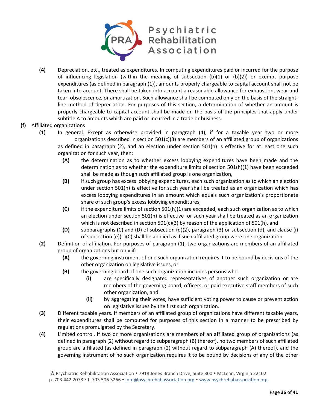

- **(4)** Depreciation, etc., treated as expenditures. In computing expenditures paid or incurred for the purpose of influencing legislation (within the meaning of subsection (b)(1) or (b)(2)) or exempt purpose expenditures (as defined in paragraph (1)), amounts properly chargeable to capital account shall not be taken into account. There shall be taken into account a reasonable allowance for exhaustion, wear and tear, obsolescence, or amortization. Such allowance shall be computed only on the basis of the straightline method of depreciation. For purposes of this section, a determination of whether an amount is properly chargeable to capital account shall be made on the basis of the principles that apply under subtitle A to amounts which are paid or incurred in a trade or business.
- **(f)** Affiliated organizations
	- **(1)** In general. Except as otherwise provided in paragraph (4), if for a taxable year two or more organizations described in section  $501(c)(3)$  are members of an affiliated group of organizations as defined in paragraph (2), and an election under section 501(h) is effective for at least one such organization for such year, then:
		- **(A)** the determination as to whether excess lobbying expenditures have been made and the determination as to whether the expenditure limits of section 501(h)(1) have been exceeded shall be made as though such affiliated group is one organization,
		- **(B)** if such group has excess lobbying expenditures, each such organization as to which an election under section 501(h) is effective for such year shall be treated as an organization which has excess lobbying expenditures in an amount which equals such organization's proportionate share of such group's excess lobbying expenditures,
		- **(C)** if the expenditure limits of section 501(h)(1) are exceeded, each such organization as to which an election under section 501(h) is effective for such year shall be treated as an organization which is not described in section  $501(c)(3)$  by reason of the application of  $501(h)$ , and
		- **(D)** subparagraphs (C) and (D) of subsection (d)(2), paragraph (3) or subsection (d), and clause (i) of subsection (e)(1)(C) shall be applied as if such affiliated group were one organization.
	- **(2)** Definition of affiliation. For purposes of paragraph (1), two organizations are members of an affiliated group of organizations but only if:
		- **(A)** the governing instrument of one such organization requires it to be bound by decisions of the other organization on legislative issues, or
		- **(B)** the governing board of one such organization includes persons who
			- **(i)** are specifically designated representatives of another such organization or are members of the governing board, officers, or paid executive staff members of such other organization, and
			- **(ii)** by aggregating their votes, have sufficient voting power to cause or prevent action on legislative issues by the first such organization.
	- **(3)** Different taxable years. If members of an affiliated group of organizations have different taxable years, their expenditures shall be computed for purposes of this section in a manner to be prescribed by regulations promulgated by the Secretary.
	- **(4)** Limited control. If two or more organizations are members of an affiliated group of organizations (as defined in paragraph (2) without regard to subparagraph (B) thereof), no two members of such affiliated group are affiliated (as defined in paragraph (2) without regard to subparagraph (A) thereof), and the governing instrument of no such organization requires it to be bound by decisions of any of the other

<sup>©</sup> Psychiatric Rehabilitation Association 7918 Jones Branch Drive, Suite 300 McLean, Virginia 22102

p. 703.442.2078 • f. 703.506.3266 • info@psychrehabassociation.org • www.psychrehabassociation.org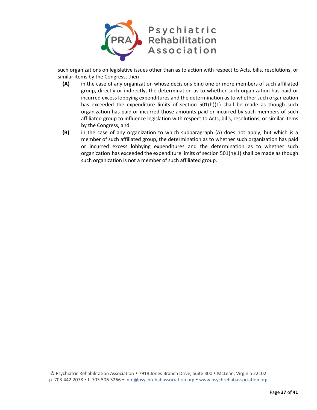

such organizations on legislative issues other than as to action with respect to Acts, bills, resolutions, or similar items by the Congress, then -

- **(A)** in the case of any organization whose decisions bind one or more members of such affiliated group, directly or indirectly, the determination as to whether such organization has paid or incurred excess lobbying expenditures and the determination as to whether such organization has exceeded the expenditure limits of section  $501(h)(1)$  shall be made as though such organization has paid or incurred those amounts paid or incurred by such members of such affiliated group to influence legislation with respect to Acts, bills, resolutions, or similar items by the Congress, and
- **(B)** in the case of any organization to which subparagraph (A) does not apply, but which is a member of such affiliated group, the determination as to whether such organization has paid or incurred excess lobbying expenditures and the determination as to whether such organization has exceeded the expenditure limits of section 501(h)(1) shall be made as though such organization is not a member of such affiliated group.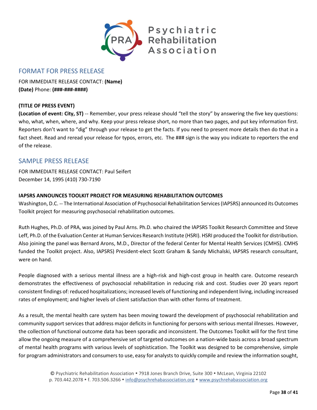

## <span id="page-37-0"></span>FORMAT FOR PRESS RELEASE

FOR IMMEDIATE RELEASE CONTACT: **(Name) (Date)** Phone: **(###-###-####)**

#### **(TITLE OF PRESS EVENT)**

**(Location of event: City, ST)** -- Remember, your press release should "tell the story" by answering the five key questions: who, what, when, where, and why. Keep your press release short, no more than two pages, and put key information first. Reporters don't want to "dig" through your release to get the facts. If you need to present more details then do that in a fact sheet. Read and reread your release for typos, errors, etc. The ### sign is the way you indicate to reporters the end of the release.

### <span id="page-37-1"></span>SAMPLE PRESS RELEASE

FOR IMMEDIATE RELEASE CONTACT: Paul Seifert December 14, 1995 (410) 730-7190

#### **IAPSRS ANNOUNCES TOOLKIT PROJECT FOR MEASURING REHABILITATION OUTCOMES**

Washington, D.C. -- The International Association of Psychosocial Rehabilitation Services (IAPSRS) announced its Outcomes Toolkit project for measuring psychosocial rehabilitation outcomes.

Ruth Hughes, Ph.D. of PRA, was joined by Paul Arns. Ph.D. who chaired the IAPSRS Toolkit Research Committee and Steve Leff, Ph.D. of the Evaluation Center at Human Services Research Institute (HSRI). HSRI produced the Toolkit for distribution. Also joining the panel was Bernard Arons, M.D., Director of the federal Center for Mental Health Services (CMHS). CMHS funded the Toolkit project. Also, IAPSRS) President-elect Scott Graham & Sandy Michalski, IAPSRS research consultant, were on hand.

People diagnosed with a serious mental illness are a high-risk and high-cost group in health care. Outcome research demonstrates the effectiveness of psychosocial rehabilitation in reducing risk and cost. Studies over 20 years report consistent findings of: reduced hospitalizations; increased levels of functioning and independent living, including increased rates of employment; and higher levels of client satisfaction than with other forms of treatment.

As a result, the mental health care system has been moving toward the development of psychosocial rehabilitation and community support services that address major deficits in functioning for persons with serious mental illnesses. However, the collection of functional outcome data has been sporadic and inconsistent. The Outcomes Toolkit will for the first time allow the ongoing measure of a comprehensive set of targeted outcomes on a nation-wide basis across a broad spectrum of mental health programs with various levels of sophistication. The Toolkit was designed to be comprehensive, simple for program administrators and consumers to use, easy for analysts to quickly compile and review the information sought,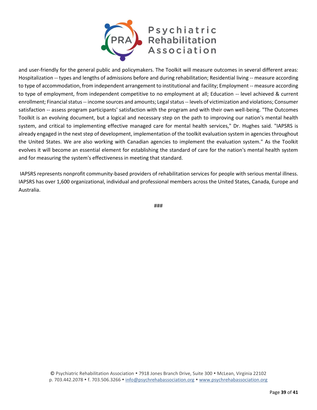

and user-friendly for the general public and policymakers. The Toolkit will measure outcomes in several different areas: Hospitalization -- types and lengths of admissions before and during rehabilitation; Residential living -- measure according to type of accommodation, from independent arrangement to institutional and facility; Employment -- measure according to type of employment, from independent competitive to no employment at all; Education -- level achieved & current enrollment; Financial status -- income sources and amounts; Legal status -- levels of victimization and violations; Consumer satisfaction -- assess program participants' satisfaction with the program and with their own well-being. "The Outcomes Toolkit is an evolving document, but a logical and necessary step on the path to improving our nation's mental health system, and critical to implementing effective managed care for mental health services," Dr. Hughes said. "IAPSRS is already engaged in the next step of development, implementation of the toolkit evaluation system in agencies throughout the United States. We are also working with Canadian agencies to implement the evaluation system." As the Toolkit evolves it will become an essential element for establishing the standard of care for the nation's mental health system and for measuring the system's effectiveness in meeting that standard.

IAPSRS represents nonprofit community-based providers of rehabilitation services for people with serious mental illness. IAPSRS has over 1,600 organizational, individual and professional members across the United States, Canada, Europe and Australia.

###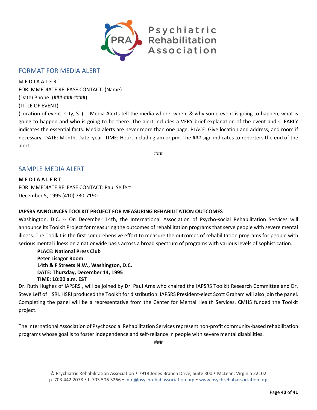

### <span id="page-39-0"></span>FORMAT FOR MEDIA ALERT

**MEDIAALERT** FOR IMMEDIATE RELEASE CONTACT: (Name) (Date) Phone: (###-###-####) (TITLE OF EVENT)

(Location of event: City, ST) -- Media Alerts tell the media where, when, & why some event is going to happen, what is going to happen and who is going to be there. The alert includes a VERY brief explanation of the event and CLEARLY indicates the essential facts. Media alerts are never more than one page. PLACE: Give location and address, and room if necessary. DATE: Month, Date, year. TIME: Hour, including am or pm. The ### sign indicates to reporters the end of the alert.

###

### <span id="page-39-1"></span>SAMPLE MEDIA ALERT

**M E D I A A L E R T** FOR IMMEDIATE RELEASE CONTACT: Paul Seifert December 5, 1995 (410) 730-7190

#### **IAPSRS ANNOUNCES TOOLKIT PROJECT FOR MEASURING REHABILITATION OUTCOMES**

Washington, D.C. -- On December 14th, the International Association of Psycho-social Rehabilitation Services will announce its Toolkit Project for measuring the outcomes of rehabilitation programs that serve people with severe mental illness. The Toolkit is the first comprehensive effort to measure the outcomes of rehabilitation programs for people with serious mental illness on a nationwide basis across a broad spectrum of programs with various levels of sophistication.

**PLACE: National Press Club Peter Lisagor Room 14th & F Streets N.W., Washington, D.C. DATE: Thursday, December 14, 1995 TIME: 10:00 a.m. EST**

Dr. Ruth Hughes of IAPSRS , will be joined by Dr. Paul Arns who chaired the IAPSRS Toolkit Research Committee and Dr. Steve Leff of HSRI. HSRI produced the Toolkit for distribution. IAPSRS President-elect Scott Graham will also join the panel. Completing the panel will be a representative from the Center for Mental Health Services. CMHS funded the Toolkit project.

The International Association of Psychosocial Rehabilitation Services represent non-profit community-based rehabilitation programs whose goal is to foster independence and self-reliance in people with severe mental disabilities.

###